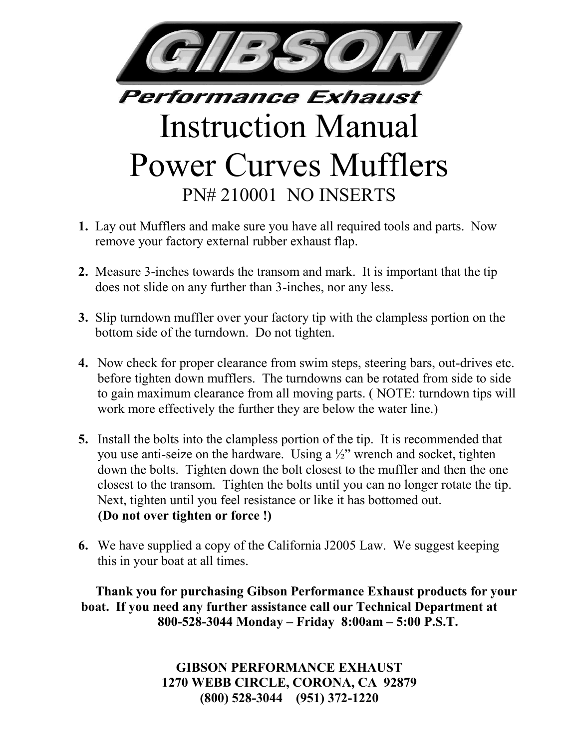

## **Performance Exhaust** Instruction Manual Power Curves Mufflers PN# 210001 NO INSERTS

- **1.** Lay out Mufflers and make sure you have all required tools and parts. Now remove your factory external rubber exhaust flap.
- **2.** Measure 3-inches towards the transom and mark. It is important that the tip does not slide on any further than 3-inches, nor any less.
- **3.** Slip turndown muffler over your factory tip with the clampless portion on the bottom side of the turndown. Do not tighten.
- **4.** Now check for proper clearance from swim steps, steering bars, out-drives etc. before tighten down mufflers. The turndowns can be rotated from side to side to gain maximum clearance from all moving parts. ( NOTE: turndown tips will work more effectively the further they are below the water line.)
- **5.** Install the bolts into the clampless portion of the tip. It is recommended that you use anti-seize on the hardware. Using a ½" wrench and socket, tighten down the bolts. Tighten down the bolt closest to the muffler and then the one closest to the transom. Tighten the bolts until you can no longer rotate the tip. Next, tighten until you feel resistance or like it has bottomed out. **(Do not over tighten or force !)**
- **6.** We have supplied a copy of the California J2005 Law. We suggest keeping this in your boat at all times.

**Thank you for purchasing Gibson Performance Exhaust products for your boat. If you need any further assistance call our Technical Department at 800-528-3044 Monday – Friday 8:00am – 5:00 P.S.T.**

> **GIBSON PERFORMANCE EXHAUST 1270 WEBB CIRCLE, CORONA, CA 92879 (800) 528-3044 (951) 372-1220**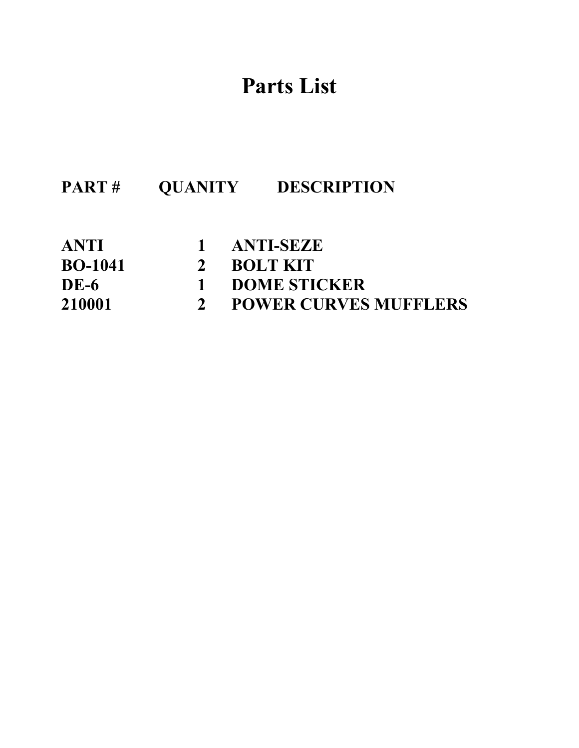### **Parts List**

| PART#          |              | <b>OUANITY DESCRIPTION</b>   |
|----------------|--------------|------------------------------|
| <b>ANTI</b>    |              | 1 ANTI-SEZE                  |
| <b>BO-1041</b> | $2^{\circ}$  | <b>BOLT KIT</b>              |
| <b>DE-6</b>    | $\mathbf{1}$ | <b>DOME STICKER</b>          |
| 210001         |              | <b>POWER CURVES MUFFLERS</b> |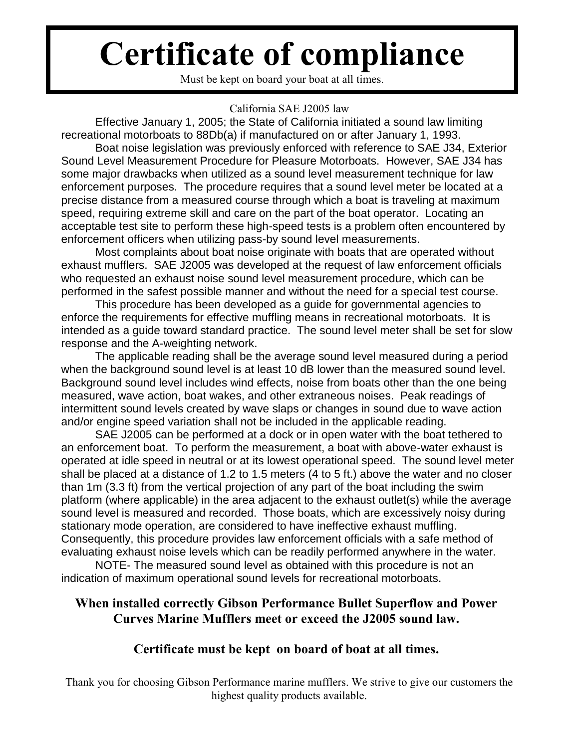# **Certificate of compliance**

Must be kept on board your boat at all times.

### California SAE J2005 law

Effective January 1, 2005; the State of California initiated a sound law limiting recreational motorboats to 88Db(a) if manufactured on or after January 1, 1993.

Boat noise legislation was previously enforced with reference to SAE J34, Exterior Sound Level Measurement Procedure for Pleasure Motorboats. However, SAE J34 has some major drawbacks when utilized as a sound level measurement technique for law enforcement purposes. The procedure requires that a sound level meter be located at a precise distance from a measured course through which a boat is traveling at maximum speed, requiring extreme skill and care on the part of the boat operator. Locating an acceptable test site to perform these high-speed tests is a problem often encountered by enforcement officers when utilizing pass-by sound level measurements.

Most complaints about boat noise originate with boats that are operated without exhaust mufflers. SAE J2005 was developed at the request of law enforcement officials who requested an exhaust noise sound level measurement procedure, which can be performed in the safest possible manner and without the need for a special test course.

This procedure has been developed as a guide for governmental agencies to enforce the requirements for effective muffling means in recreational motorboats. It is intended as a guide toward standard practice. The sound level meter shall be set for slow response and the A-weighting network.

The applicable reading shall be the average sound level measured during a period when the background sound level is at least 10 dB lower than the measured sound level. Background sound level includes wind effects, noise from boats other than the one being measured, wave action, boat wakes, and other extraneous noises. Peak readings of intermittent sound levels created by wave slaps or changes in sound due to wave action and/or engine speed variation shall not be included in the applicable reading.

SAE J2005 can be performed at a dock or in open water with the boat tethered to an enforcement boat. To perform the measurement, a boat with above-water exhaust is operated at idle speed in neutral or at its lowest operational speed. The sound level meter shall be placed at a distance of 1.2 to 1.5 meters (4 to 5 ft.) above the water and no closer than 1m (3.3 ft) from the vertical projection of any part of the boat including the swim platform (where applicable) in the area adjacent to the exhaust outlet(s) while the average sound level is measured and recorded. Those boats, which are excessively noisy during stationary mode operation, are considered to have ineffective exhaust muffling. Consequently, this procedure provides law enforcement officials with a safe method of evaluating exhaust noise levels which can be readily performed anywhere in the water.

NOTE- The measured sound level as obtained with this procedure is not an indication of maximum operational sound levels for recreational motorboats.

### **When installed correctly Gibson Performance Bullet Superflow and Power Curves Marine Mufflers meet or exceed the J2005 sound law.**

### **Certificate must be kept on board of boat at all times.**

Thank you for choosing Gibson Performance marine mufflers. We strive to give our customers the highest quality products available.